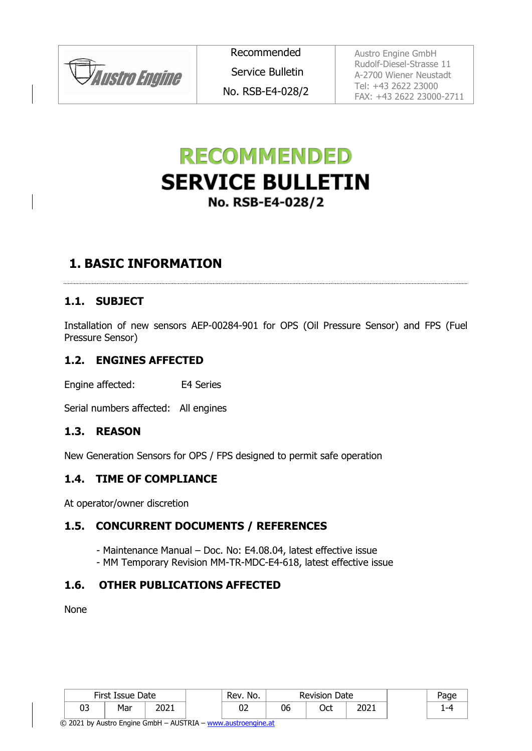**JAustro Engine** 

Recommended

Service Bulletin

No. RSB-E4-028/2

Austro Engine GmbH Rudolf-Diesel-Strasse 11 A-2700 Wiener Neustadt Tel: +43 2622 23000 FAX: +43 2622 23000-2711

# **RECOMMENDED SERVICE BULLETIN** No. RSB-E4-028/2

## **1. BASIC INFORMATION**

#### **1.1. SUBJECT**

Installation of new sensors AEP-00284-901 for OPS (Oil Pressure Sensor) and FPS (Fuel Pressure Sensor)

#### **1.2. ENGINES AFFECTED**

Engine affected: E4 Series

Serial numbers affected: All engines

#### **1.3. REASON**

New Generation Sensors for OPS / FPS designed to permit safe operation

#### <span id="page-0-0"></span>**1.4. TIME OF COMPLIANCE**

At operator/owner discretion

#### **1.5. CONCURRENT DOCUMENTS / REFERENCES**

- Maintenance Manual Doc. No: E4.08.04, latest effective issue
- MM Temporary Revision MM-TR-MDC-E4-618, latest effective issue

#### **1.6. OTHER PUBLICATIONS AFFECTED**

None

|          | First Issue Date |               | Rev.<br>No. |    | <b>Revision Date</b> |      | age. |
|----------|------------------|---------------|-------------|----|----------------------|------|------|
| กว<br>ບບ | Mar              | י רחר<br>∠∪∠⊥ | UZ          | 06 | า≁<br>ししし            | 2021 |      |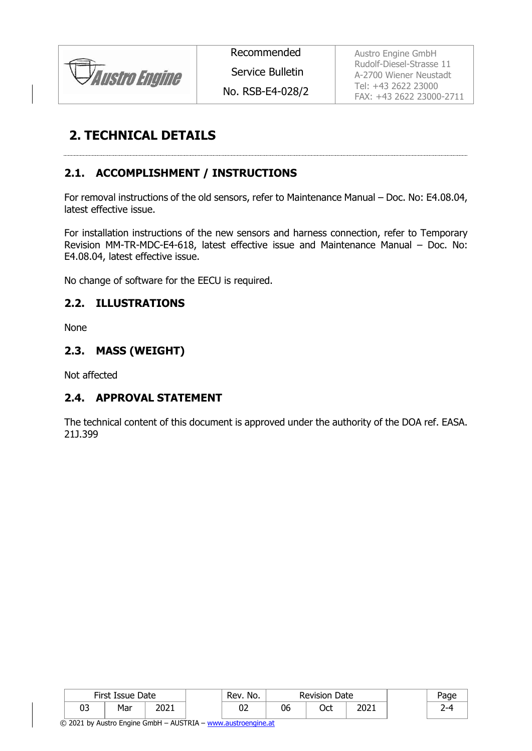

Recommended

Service Bulletin

No. RSB-E4-028/2

Austro Engine GmbH Rudolf-Diesel-Strasse 11 A-2700 Wiener Neustadt Tel: +43 2622 23000 FAX: +43 2622 23000-2711

## **2. TECHNICAL DETAILS**

### <span id="page-1-0"></span>**2.1. ACCOMPLISHMENT / INSTRUCTIONS**

For removal instructions of the old sensors, refer to Maintenance Manual – Doc. No: E4.08.04, latest effective issue.

For installation instructions of the new sensors and harness connection, refer to Temporary Revision MM-TR-MDC-E4-618, latest effective issue and Maintenance Manual – Doc. No: E4.08.04, latest effective issue.

No change of software for the EECU is required.

#### **2.2. ILLUSTRATIONS**

None

#### **2.3. MASS (WEIGHT)**

Not affected

#### **2.4. APPROVAL STATEMENT**

The technical content of this document is approved under the authority of the DOA ref. EASA. 21J.399

|    | First Issue Date |               | No.<br>Rev. |    | <b>Revision Date</b> |      | Page |
|----|------------------|---------------|-------------|----|----------------------|------|------|
| 03 | Mar              | 10.11<br>ZUZI | ∪∠          | 06 | ∩~⊢<br>ULL           | 2021 |      |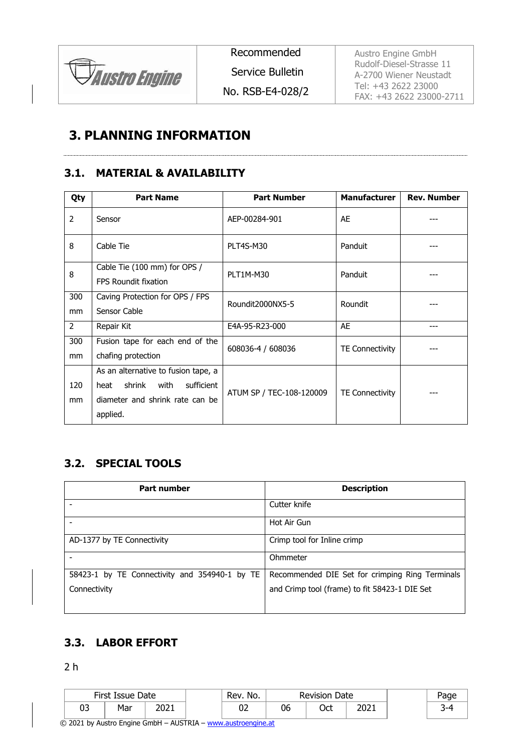

Recommended

Service Bulletin

No. RSB-E4-028/2

Austro Engine GmbH Rudolf-Diesel-Strasse 11 A-2700 Wiener Neustadt Tel: +43 2622 23000 FAX: +43 2622 23000-2711

### **3. PLANNING INFORMATION**

#### **3.1. MATERIAL & AVAILABILITY**

| Qty            | <b>Part Name</b>                                            | <b>Part Number</b>       | <b>Manufacturer</b>    | <b>Rev. Number</b> |  |
|----------------|-------------------------------------------------------------|--------------------------|------------------------|--------------------|--|
| 2              | Sensor                                                      | AEP-00284-901            | AE                     |                    |  |
| 8              | Cable Tie                                                   | PLT4S-M30                | Panduit                |                    |  |
| 8              | Cable Tie (100 mm) for OPS /<br><b>FPS Roundit fixation</b> | PLT1M-M30                | Panduit                |                    |  |
| 300            | Caving Protection for OPS / FPS                             | Roundit2000NX5-5         | Roundit                |                    |  |
| mm             | Sensor Cable                                                |                          |                        |                    |  |
| $\overline{2}$ | Repair Kit                                                  | E4A-95-R23-000           | AE                     | ---                |  |
| 300            | Fusion tape for each end of the                             | 608036-4 / 608036        | <b>TE Connectivity</b> |                    |  |
| mm             | chafing protection                                          |                          |                        |                    |  |
|                | As an alternative to fusion tape, a                         |                          |                        |                    |  |
| 120            | shrink<br>with<br>sufficient<br>heat                        | ATUM SP / TEC-108-120009 | <b>TE Connectivity</b> |                    |  |
| mm             | diameter and shrink rate can be                             |                          |                        |                    |  |
|                | applied.                                                    |                          |                        |                    |  |

#### **3.2. SPECIAL TOOLS**

| <b>Part number</b>                            | <b>Description</b>                              |
|-----------------------------------------------|-------------------------------------------------|
|                                               | Cutter knife                                    |
|                                               | Hot Air Gun                                     |
| AD-1377 by TE Connectivity                    | Crimp tool for Inline crimp                     |
|                                               | Ohmmeter                                        |
| 58423-1 by TE Connectivity and 354940-1 by TE | Recommended DIE Set for crimping Ring Terminals |
| Connectivity                                  | and Crimp tool (frame) to fit 58423-1 DIE Set   |

### **3.3. LABOR EFFORT**

2 h

| First Issue Date |     | No.<br>Rev. | <b>Revision Date</b> |    | Page |      |        |
|------------------|-----|-------------|----------------------|----|------|------|--------|
| רח<br>ບJ         | Mar | 2021        | UZ                   | 06 | Oct  | 2021 | ∽<br>້ |